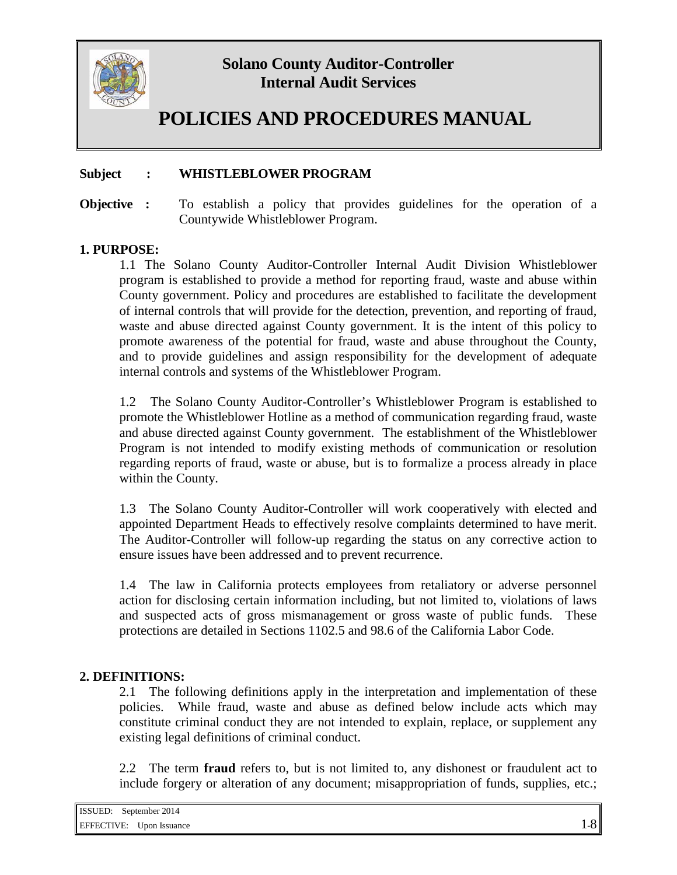

# **POLICIES AND PROCEDURES MANUAL**

#### **Subject : WHISTLEBLOWER PROGRAM**

**Objective :** To establish a policy that provides guidelines for the operation of a Countywide Whistleblower Program.

#### **1. PURPOSE:**

1.1 The Solano County Auditor-Controller Internal Audit Division Whistleblower program is established to provide a method for reporting fraud, waste and abuse within County government. Policy and procedures are established to facilitate the development of internal controls that will provide for the detection, prevention, and reporting of fraud, waste and abuse directed against County government. It is the intent of this policy to promote awareness of the potential for fraud, waste and abuse throughout the County, and to provide guidelines and assign responsibility for the development of adequate internal controls and systems of the Whistleblower Program.

1.2 The Solano County Auditor-Controller's Whistleblower Program is established to promote the Whistleblower Hotline as a method of communication regarding fraud, waste and abuse directed against County government. The establishment of the Whistleblower Program is not intended to modify existing methods of communication or resolution regarding reports of fraud, waste or abuse, but is to formalize a process already in place within the County.

1.3 The Solano County Auditor-Controller will work cooperatively with elected and appointed Department Heads to effectively resolve complaints determined to have merit. The Auditor-Controller will follow-up regarding the status on any corrective action to ensure issues have been addressed and to prevent recurrence.

1.4 The law in California protects employees from retaliatory or adverse personnel action for disclosing certain information including, but not limited to, violations of laws and suspected acts of gross mismanagement or gross waste of public funds. These protections are detailed in Sections 1102.5 and 98.6 of the California Labor Code.

#### **2. DEFINITIONS:**

2.1 The following definitions apply in the interpretation and implementation of these policies. While fraud, waste and abuse as defined below include acts which may constitute criminal conduct they are not intended to explain, replace, or supplement any existing legal definitions of criminal conduct.

2.2 The term **fraud** refers to, but is not limited to, any dishonest or fraudulent act to include forgery or alteration of any document; misappropriation of funds, supplies, etc.;

| ISSUED:    | September 2014 |    |
|------------|----------------|----|
| EFFECTIVE: | Upon Issuance  | -0 |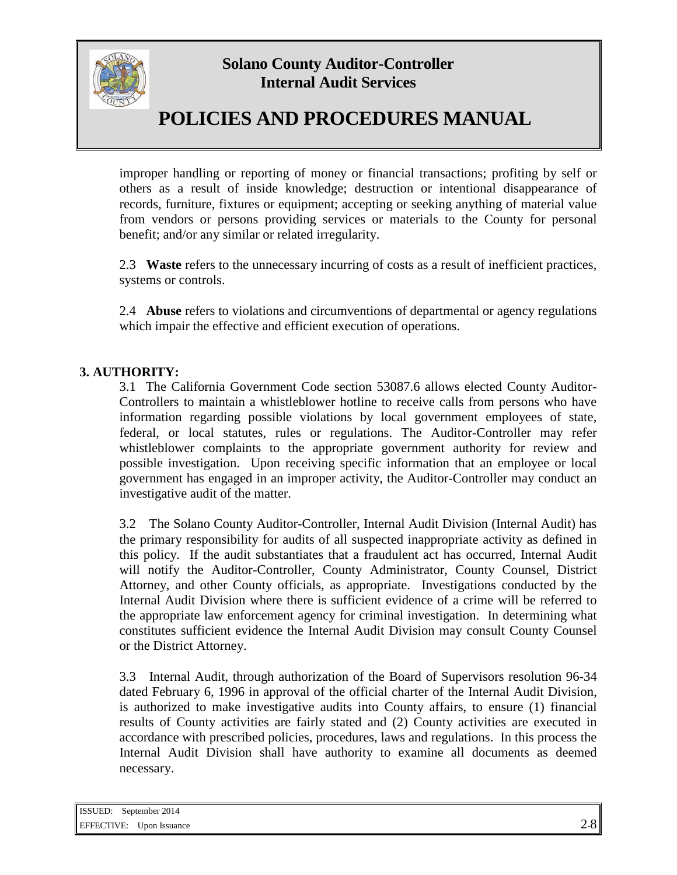

# **POLICIES AND PROCEDURES MANUAL**

improper handling or reporting of money or financial transactions; profiting by self or others as a result of inside knowledge; destruction or intentional disappearance of records, furniture, fixtures or equipment; accepting or seeking anything of material value from vendors or persons providing services or materials to the County for personal benefit; and/or any similar or related irregularity.

2.3 **Waste** refers to the unnecessary incurring of costs as a result of inefficient practices, systems or controls.

2.4 **Abuse** refers to violations and circumventions of departmental or agency regulations which impair the effective and efficient execution of operations.

### **3. AUTHORITY:**

3.1 The California Government Code section 53087.6 allows elected County Auditor-Controllers to maintain a whistleblower hotline to receive calls from persons who have information regarding possible violations by local government employees of state, federal, or local statutes, rules or regulations. The Auditor-Controller may refer whistleblower complaints to the appropriate government authority for review and possible investigation. Upon receiving specific information that an employee or local government has engaged in an improper activity, the Auditor-Controller may conduct an investigative audit of the matter.

3.2 The Solano County Auditor-Controller, Internal Audit Division (Internal Audit) has the primary responsibility for audits of all suspected inappropriate activity as defined in this policy. If the audit substantiates that a fraudulent act has occurred, Internal Audit will notify the Auditor-Controller, County Administrator, County Counsel, District Attorney, and other County officials, as appropriate. Investigations conducted by the Internal Audit Division where there is sufficient evidence of a crime will be referred to the appropriate law enforcement agency for criminal investigation. In determining what constitutes sufficient evidence the Internal Audit Division may consult County Counsel or the District Attorney.

3.3 Internal Audit, through authorization of the Board of Supervisors resolution 96-34 dated February 6, 1996 in approval of the official charter of the Internal Audit Division, is authorized to make investigative audits into County affairs, to ensure (1) financial results of County activities are fairly stated and (2) County activities are executed in accordance with prescribed policies, procedures, laws and regulations. In this process the Internal Audit Division shall have authority to examine all documents as deemed necessary.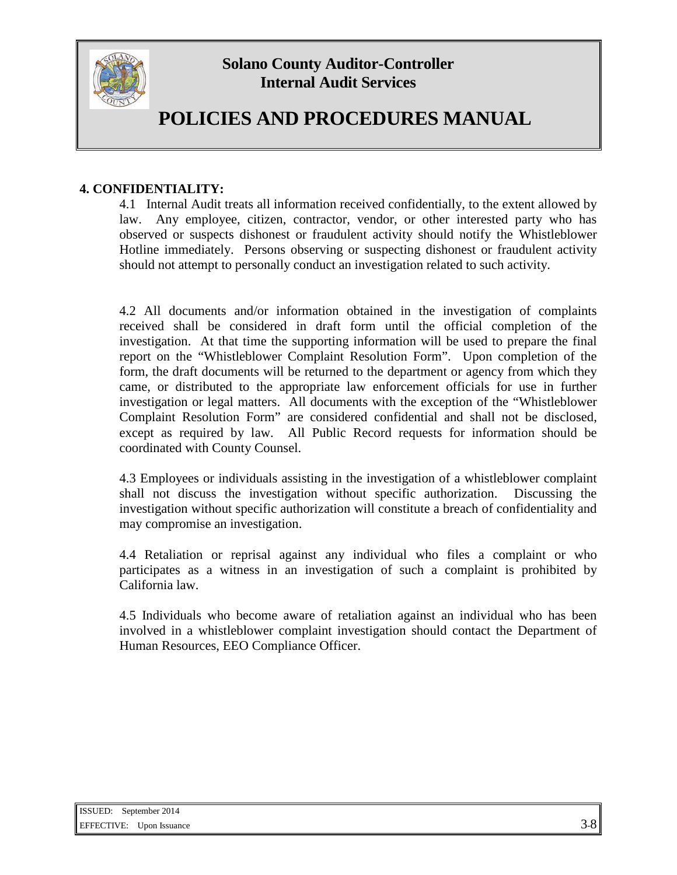

# **POLICIES AND PROCEDURES MANUAL**

### **4. CONFIDENTIALITY:**

4.1 Internal Audit treats all information received confidentially, to the extent allowed by law. Any employee, citizen, contractor, vendor, or other interested party who has observed or suspects dishonest or fraudulent activity should notify the Whistleblower Hotline immediately. Persons observing or suspecting dishonest or fraudulent activity should not attempt to personally conduct an investigation related to such activity.

4.2 All documents and/or information obtained in the investigation of complaints received shall be considered in draft form until the official completion of the investigation. At that time the supporting information will be used to prepare the final report on the "Whistleblower Complaint Resolution Form". Upon completion of the form, the draft documents will be returned to the department or agency from which they came, or distributed to the appropriate law enforcement officials for use in further investigation or legal matters. All documents with the exception of the "Whistleblower Complaint Resolution Form" are considered confidential and shall not be disclosed, except as required by law. All Public Record requests for information should be coordinated with County Counsel.

4.3 Employees or individuals assisting in the investigation of a whistleblower complaint shall not discuss the investigation without specific authorization. Discussing the investigation without specific authorization will constitute a breach of confidentiality and may compromise an investigation.

4.4 Retaliation or reprisal against any individual who files a complaint or who participates as a witness in an investigation of such a complaint is prohibited by California law.

4.5 Individuals who become aware of retaliation against an individual who has been involved in a whistleblower complaint investigation should contact the Department of Human Resources, EEO Compliance Officer.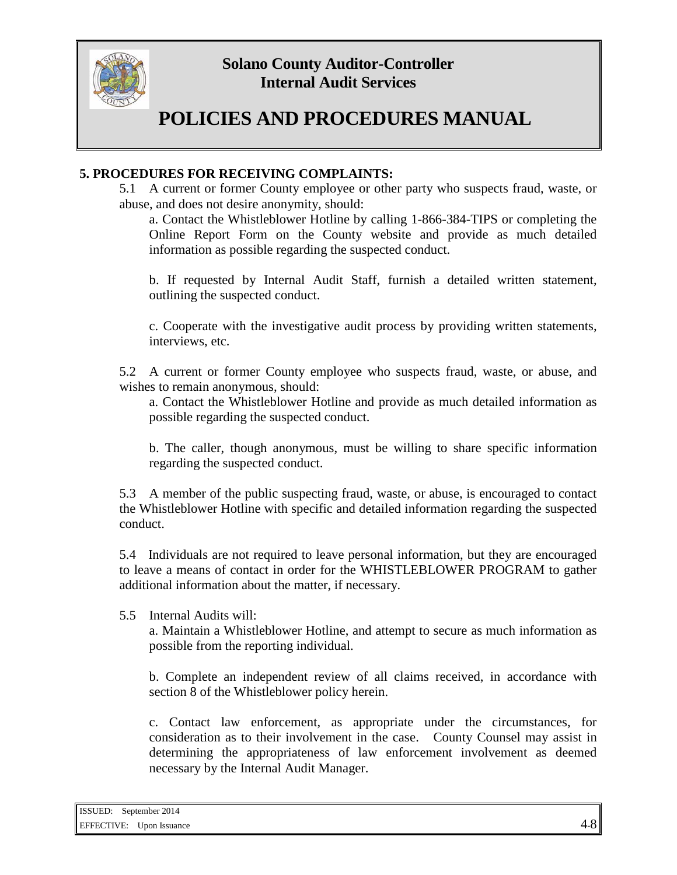

# **POLICIES AND PROCEDURES MANUAL**

### **5. PROCEDURES FOR RECEIVING COMPLAINTS:**

5.1 A current or former County employee or other party who suspects fraud, waste, or abuse, and does not desire anonymity, should:

a. Contact the Whistleblower Hotline by calling 1-866-384-TIPS or completing the Online Report Form on the County website and provide as much detailed information as possible regarding the suspected conduct.

b. If requested by Internal Audit Staff, furnish a detailed written statement, outlining the suspected conduct.

c. Cooperate with the investigative audit process by providing written statements, interviews, etc.

5.2 A current or former County employee who suspects fraud, waste, or abuse, and wishes to remain anonymous, should:

a. Contact the Whistleblower Hotline and provide as much detailed information as possible regarding the suspected conduct.

b. The caller, though anonymous, must be willing to share specific information regarding the suspected conduct.

5.3 A member of the public suspecting fraud, waste, or abuse, is encouraged to contact the Whistleblower Hotline with specific and detailed information regarding the suspected conduct.

5.4 Individuals are not required to leave personal information, but they are encouraged to leave a means of contact in order for the WHISTLEBLOWER PROGRAM to gather additional information about the matter, if necessary.

5.5 Internal Audits will:

a. Maintain a Whistleblower Hotline, and attempt to secure as much information as possible from the reporting individual.

b. Complete an independent review of all claims received, in accordance with section 8 of the Whistleblower policy herein.

c. Contact law enforcement, as appropriate under the circumstances, for consideration as to their involvement in the case. County Counsel may assist in determining the appropriateness of law enforcement involvement as deemed necessary by the Internal Audit Manager.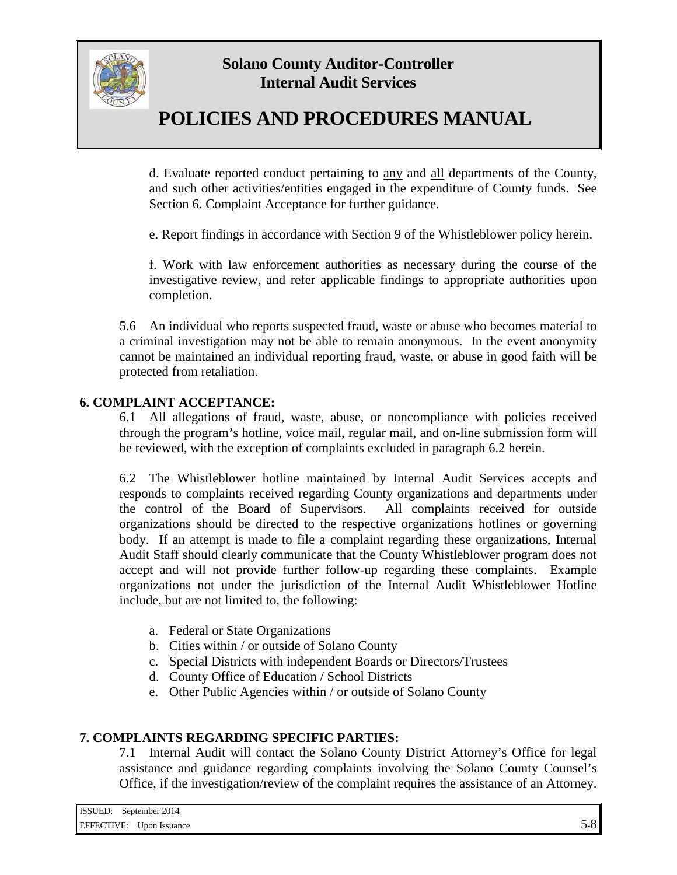

# **POLICIES AND PROCEDURES MANUAL**

d. Evaluate reported conduct pertaining to any and all departments of the County, and such other activities/entities engaged in the expenditure of County funds. See Section 6. Complaint Acceptance for further guidance.

e. Report findings in accordance with Section 9 of the Whistleblower policy herein.

f. Work with law enforcement authorities as necessary during the course of the investigative review, and refer applicable findings to appropriate authorities upon completion.

5.6 An individual who reports suspected fraud, waste or abuse who becomes material to a criminal investigation may not be able to remain anonymous. In the event anonymity cannot be maintained an individual reporting fraud, waste, or abuse in good faith will be protected from retaliation.

#### **6. COMPLAINT ACCEPTANCE:**

6.1 All allegations of fraud, waste, abuse, or noncompliance with policies received through the program's hotline, voice mail, regular mail, and on-line submission form will be reviewed, with the exception of complaints excluded in paragraph 6.2 herein.

6.2 The Whistleblower hotline maintained by Internal Audit Services accepts and responds to complaints received regarding County organizations and departments under the control of the Board of Supervisors. All complaints received for outside organizations should be directed to the respective organizations hotlines or governing body. If an attempt is made to file a complaint regarding these organizations, Internal Audit Staff should clearly communicate that the County Whistleblower program does not accept and will not provide further follow-up regarding these complaints. Example organizations not under the jurisdiction of the Internal Audit Whistleblower Hotline include, but are not limited to, the following:

- a. Federal or State Organizations
- b. Cities within / or outside of Solano County
- c. Special Districts with independent Boards or Directors/Trustees
- d. County Office of Education / School Districts
- e. Other Public Agencies within / or outside of Solano County

#### **7. COMPLAINTS REGARDING SPECIFIC PARTIES:**

7.1 Internal Audit will contact the Solano County District Attorney's Office for legal assistance and guidance regarding complaints involving the Solano County Counsel's Office, if the investigation/review of the complaint requires the assistance of an Attorney.

| <b>ISSUED:</b> September 2014 |                                 |         |
|-------------------------------|---------------------------------|---------|
|                               | <b>EFFECTIVE:</b> Upon Issuance | $5 - 8$ |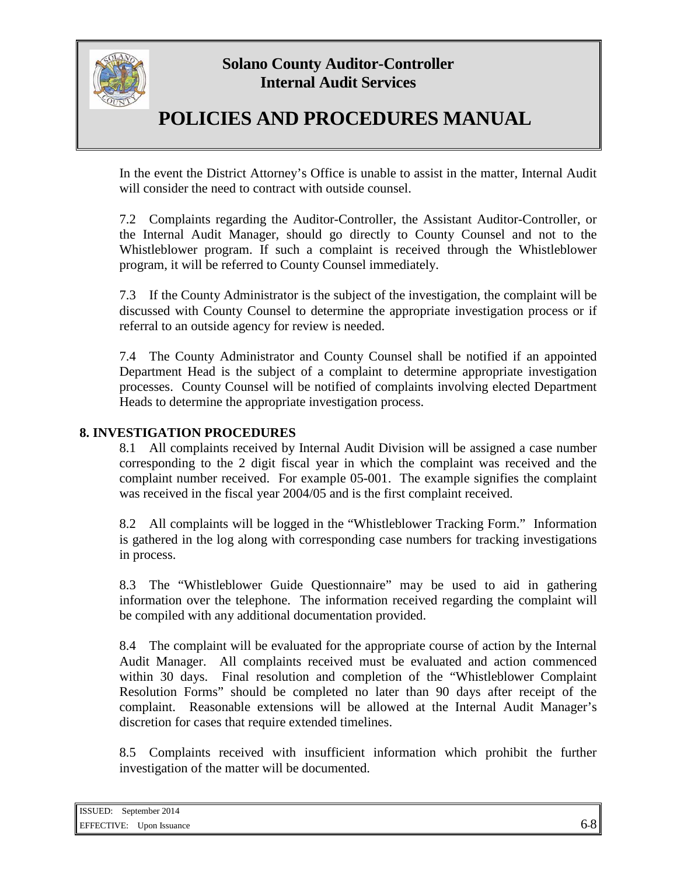

# **POLICIES AND PROCEDURES MANUAL**

In the event the District Attorney's Office is unable to assist in the matter, Internal Audit will consider the need to contract with outside counsel.

7.2 Complaints regarding the Auditor-Controller, the Assistant Auditor-Controller, or the Internal Audit Manager, should go directly to County Counsel and not to the Whistleblower program. If such a complaint is received through the Whistleblower program, it will be referred to County Counsel immediately.

7.3 If the County Administrator is the subject of the investigation, the complaint will be discussed with County Counsel to determine the appropriate investigation process or if referral to an outside agency for review is needed.

7.4 The County Administrator and County Counsel shall be notified if an appointed Department Head is the subject of a complaint to determine appropriate investigation processes. County Counsel will be notified of complaints involving elected Department Heads to determine the appropriate investigation process.

### **8. INVESTIGATION PROCEDURES**

8.1 All complaints received by Internal Audit Division will be assigned a case number corresponding to the 2 digit fiscal year in which the complaint was received and the complaint number received. For example 05-001. The example signifies the complaint was received in the fiscal year 2004/05 and is the first complaint received.

8.2 All complaints will be logged in the "Whistleblower Tracking Form." Information is gathered in the log along with corresponding case numbers for tracking investigations in process.

8.3 The "Whistleblower Guide Questionnaire" may be used to aid in gathering information over the telephone. The information received regarding the complaint will be compiled with any additional documentation provided.

8.4 The complaint will be evaluated for the appropriate course of action by the Internal Audit Manager. All complaints received must be evaluated and action commenced within 30 days. Final resolution and completion of the "Whistleblower Complaint Resolution Forms" should be completed no later than 90 days after receipt of the complaint. Reasonable extensions will be allowed at the Internal Audit Manager's discretion for cases that require extended timelines.

8.5 Complaints received with insufficient information which prohibit the further investigation of the matter will be documented.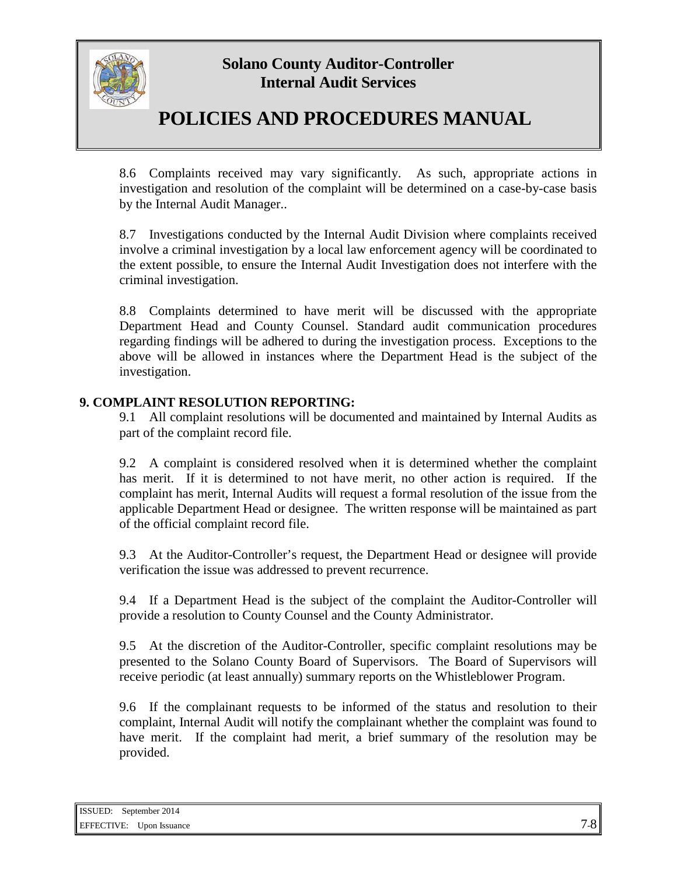

# **POLICIES AND PROCEDURES MANUAL**

8.6 Complaints received may vary significantly. As such, appropriate actions in investigation and resolution of the complaint will be determined on a case-by-case basis by the Internal Audit Manager..

8.7 Investigations conducted by the Internal Audit Division where complaints received involve a criminal investigation by a local law enforcement agency will be coordinated to the extent possible, to ensure the Internal Audit Investigation does not interfere with the criminal investigation.

8.8 Complaints determined to have merit will be discussed with the appropriate Department Head and County Counsel. Standard audit communication procedures regarding findings will be adhered to during the investigation process. Exceptions to the above will be allowed in instances where the Department Head is the subject of the investigation.

#### **9. COMPLAINT RESOLUTION REPORTING:**

9.1 All complaint resolutions will be documented and maintained by Internal Audits as part of the complaint record file.

9.2 A complaint is considered resolved when it is determined whether the complaint has merit. If it is determined to not have merit, no other action is required. If the complaint has merit, Internal Audits will request a formal resolution of the issue from the applicable Department Head or designee. The written response will be maintained as part of the official complaint record file.

9.3 At the Auditor-Controller's request, the Department Head or designee will provide verification the issue was addressed to prevent recurrence.

9.4 If a Department Head is the subject of the complaint the Auditor-Controller will provide a resolution to County Counsel and the County Administrator.

9.5 At the discretion of the Auditor-Controller, specific complaint resolutions may be presented to the Solano County Board of Supervisors. The Board of Supervisors will receive periodic (at least annually) summary reports on the Whistleblower Program.

9.6 If the complainant requests to be informed of the status and resolution to their complaint, Internal Audit will notify the complainant whether the complaint was found to have merit. If the complaint had merit, a brief summary of the resolution may be provided.